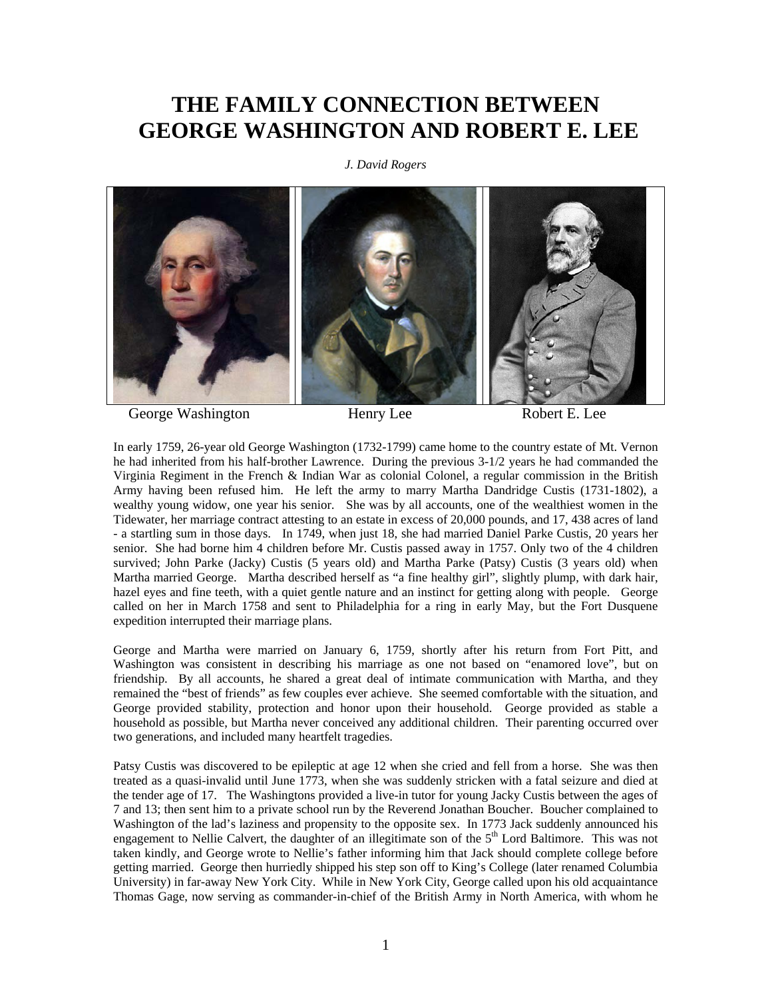## **THE FAMILY CONNECTION BETWEEN GEORGE WASHINGTON AND ROBERT E. LEE**

*J. David Rogers* 



George Washington **Henry Lee** Robert E. Lee

In early 1759, 26-year old George Washington (1732-1799) came home to the country estate of Mt. Vernon he had inherited from his half-brother Lawrence. During the previous 3-1/2 years he had commanded the Virginia Regiment in the French & Indian War as colonial Colonel, a regular commission in the British Army having been refused him. He left the army to marry Martha Dandridge Custis (1731-1802), a wealthy young widow, one year his senior. She was by all accounts, one of the wealthiest women in the Tidewater, her marriage contract attesting to an estate in excess of 20,000 pounds, and 17, 438 acres of land - a startling sum in those days. In 1749, when just 18, she had married Daniel Parke Custis, 20 years her senior. She had borne him 4 children before Mr. Custis passed away in 1757. Only two of the 4 children survived; John Parke (Jacky) Custis (5 years old) and Martha Parke (Patsy) Custis (3 years old) when Martha married George. Martha described herself as "a fine healthy girl", slightly plump, with dark hair, hazel eyes and fine teeth, with a quiet gentle nature and an instinct for getting along with people. George called on her in March 1758 and sent to Philadelphia for a ring in early May, but the Fort Dusquene expedition interrupted their marriage plans.

George and Martha were married on January 6, 1759, shortly after his return from Fort Pitt, and Washington was consistent in describing his marriage as one not based on "enamored love", but on friendship. By all accounts, he shared a great deal of intimate communication with Martha, and they remained the "best of friends" as few couples ever achieve. She seemed comfortable with the situation, and George provided stability, protection and honor upon their household. George provided as stable a household as possible, but Martha never conceived any additional children. Their parenting occurred over two generations, and included many heartfelt tragedies.

Patsy Custis was discovered to be epileptic at age 12 when she cried and fell from a horse. She was then treated as a quasi-invalid until June 1773, when she was suddenly stricken with a fatal seizure and died at the tender age of 17. The Washingtons provided a live-in tutor for young Jacky Custis between the ages of 7 and 13; then sent him to a private school run by the Reverend Jonathan Boucher. Boucher complained to Washington of the lad's laziness and propensity to the opposite sex. In 1773 Jack suddenly announced his engagement to Nellie Calvert, the daughter of an illegitimate son of the  $5<sup>th</sup>$  Lord Baltimore. This was not taken kindly, and George wrote to Nellie's father informing him that Jack should complete college before getting married. George then hurriedly shipped his step son off to King's College (later renamed Columbia University) in far-away New York City. While in New York City, George called upon his old acquaintance Thomas Gage, now serving as commander-in-chief of the British Army in North America, with whom he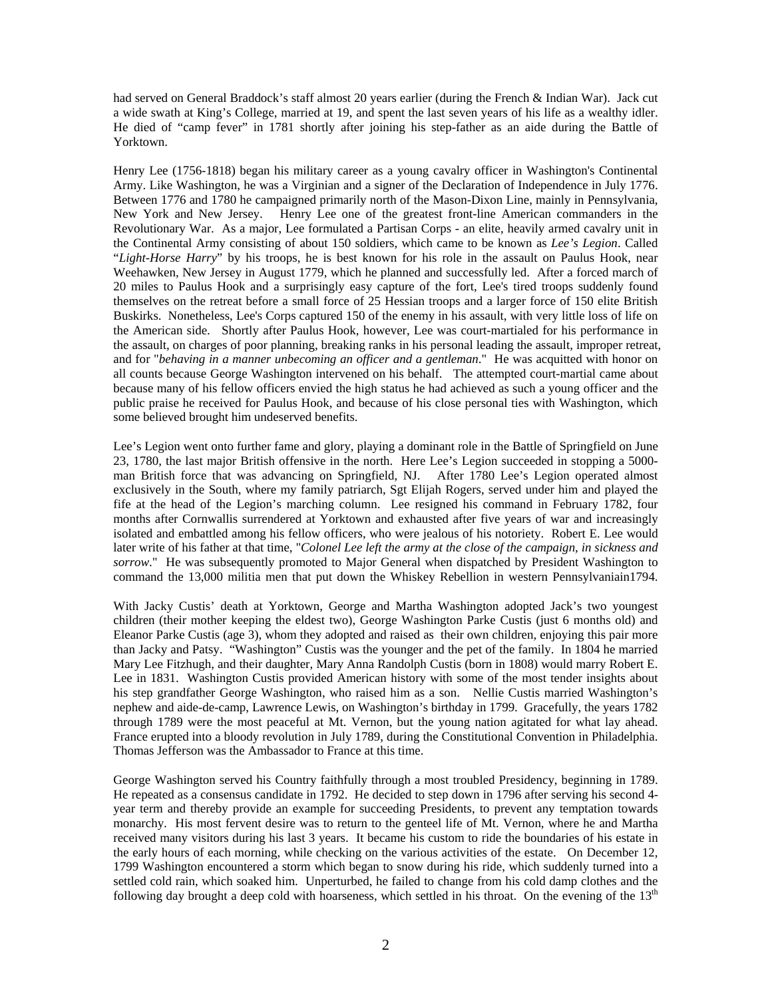had served on General Braddock's staff almost 20 years earlier (during the French & Indian War). Jack cut a wide swath at King's College, married at 19, and spent the last seven years of his life as a wealthy idler. He died of "camp fever" in 1781 shortly after joining his step-father as an aide during the Battle of Yorktown.

Henry Lee (1756-1818) began his military career as a young cavalry officer in Washington's Continental Army. Like Washington, he was a Virginian and a signer of the Declaration of Independence in July 1776. Between 1776 and 1780 he campaigned primarily north of the Mason-Dixon Line, mainly in Pennsylvania, New York and New Jersey. Henry Lee one of the greatest front-line American commanders in the Revolutionary War. As a major, Lee formulated a Partisan Corps - an elite, heavily armed cavalry unit in the Continental Army consisting of about 150 soldiers, which came to be known as *Lee's Legion*. Called "*Light-Horse Harry*" by his troops, he is best known for his role in the assault on Paulus Hook, near Weehawken, New Jersey in August 1779, which he planned and successfully led. After a forced march of 20 miles to Paulus Hook and a surprisingly easy capture of the fort, Lee's tired troops suddenly found themselves on the retreat before a small force of 25 Hessian troops and a larger force of 150 elite British Buskirks. Nonetheless, Lee's Corps captured 150 of the enemy in his assault, with very little loss of life on the American side. Shortly after Paulus Hook, however, Lee was court-martialed for his performance in the assault, on charges of poor planning, breaking ranks in his personal leading the assault, improper retreat, and for "*behaving in a manner unbecoming an officer and a gentleman*." He was acquitted with honor on all counts because George Washington intervened on his behalf. The attempted court-martial came about because many of his fellow officers envied the high status he had achieved as such a young officer and the public praise he received for Paulus Hook, and because of his close personal ties with Washington, which some believed brought him undeserved benefits.

Lee's Legion went onto further fame and glory, playing a dominant role in the Battle of Springfield on June 23, 1780, the last major British offensive in the north. Here Lee's Legion succeeded in stopping a 5000 man British force that was advancing on Springfield, NJ. After 1780 Lee's Legion operated almost exclusively in the South, where my family patriarch, Sgt Elijah Rogers, served under him and played the fife at the head of the Legion's marching column. Lee resigned his command in February 1782, four months after Cornwallis surrendered at Yorktown and exhausted after five years of war and increasingly isolated and embattled among his fellow officers, who were jealous of his notoriety. Robert E. Lee would later write of his father at that time, "*Colonel Lee left the army at the close of the campaign, in sickness and sorrow*." He was subsequently promoted to Major General when dispatched by President Washington to command the 13,000 militia men that put down the Whiskey Rebellion in western Pennsylvaniain1794.

With Jacky Custis' death at Yorktown, George and Martha Washington adopted Jack's two youngest children (their mother keeping the eldest two), George Washington Parke Custis (just 6 months old) and Eleanor Parke Custis (age 3), whom they adopted and raised as their own children, enjoying this pair more than Jacky and Patsy. "Washington" Custis was the younger and the pet of the family. In 1804 he married Mary Lee Fitzhugh, and their daughter, Mary Anna Randolph Custis (born in 1808) would marry Robert E. Lee in 1831. Washington Custis provided American history with some of the most tender insights about his step grandfather George Washington, who raised him as a son. Nellie Custis married Washington's nephew and aide-de-camp, Lawrence Lewis, on Washington's birthday in 1799. Gracefully, the years 1782 through 1789 were the most peaceful at Mt. Vernon, but the young nation agitated for what lay ahead. France erupted into a bloody revolution in July 1789, during the Constitutional Convention in Philadelphia. Thomas Jefferson was the Ambassador to France at this time.

George Washington served his Country faithfully through a most troubled Presidency, beginning in 1789. He repeated as a consensus candidate in 1792. He decided to step down in 1796 after serving his second 4 year term and thereby provide an example for succeeding Presidents, to prevent any temptation towards monarchy. His most fervent desire was to return to the genteel life of Mt. Vernon, where he and Martha received many visitors during his last 3 years. It became his custom to ride the boundaries of his estate in the early hours of each morning, while checking on the various activities of the estate. On December 12, 1799 Washington encountered a storm which began to snow during his ride, which suddenly turned into a settled cold rain, which soaked him. Unperturbed, he failed to change from his cold damp clothes and the following day brought a deep cold with hoarseness, which settled in his throat. On the evening of the  $13<sup>th</sup>$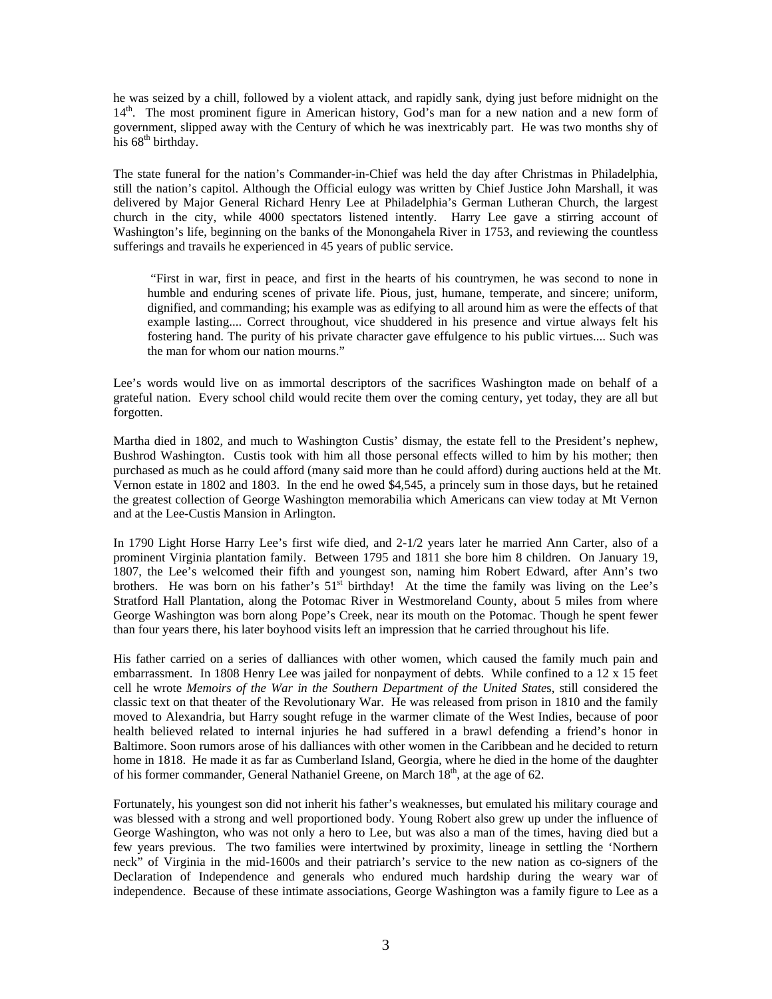he was seized by a chill, followed by a violent attack, and rapidly sank, dying just before midnight on the 14<sup>th</sup>. The most prominent figure in American history, God's man for a new nation and a new form of government, slipped away with the Century of which he was inextricably part. He was two months shy of his  $68<sup>th</sup>$  birthday.

The state funeral for the nation's Commander-in-Chief was held the day after Christmas in Philadelphia, still the nation's capitol. Although the Official eulogy was written by Chief Justice John Marshall, it was delivered by Major General Richard Henry Lee at Philadelphia's German Lutheran Church, the largest church in the city, while 4000 spectators listened intently. Harry Lee gave a stirring account of Washington's life, beginning on the banks of the Monongahela River in 1753, and reviewing the countless sufferings and travails he experienced in 45 years of public service.

 "First in war, first in peace, and first in the hearts of his countrymen, he was second to none in humble and enduring scenes of private life. Pious, just, humane, temperate, and sincere; uniform, dignified, and commanding; his example was as edifying to all around him as were the effects of that example lasting.... Correct throughout, vice shuddered in his presence and virtue always felt his fostering hand. The purity of his private character gave effulgence to his public virtues.... Such was the man for whom our nation mourns."

Lee's words would live on as immortal descriptors of the sacrifices Washington made on behalf of a grateful nation. Every school child would recite them over the coming century, yet today, they are all but forgotten.

Martha died in 1802, and much to Washington Custis' dismay, the estate fell to the President's nephew, Bushrod Washington. Custis took with him all those personal effects willed to him by his mother; then purchased as much as he could afford (many said more than he could afford) during auctions held at the Mt. Vernon estate in 1802 and 1803. In the end he owed \$4,545, a princely sum in those days, but he retained the greatest collection of George Washington memorabilia which Americans can view today at Mt Vernon and at the Lee-Custis Mansion in Arlington.

In 1790 Light Horse Harry Lee's first wife died, and 2-1/2 years later he married Ann Carter, also of a prominent Virginia plantation family. Between 1795 and 1811 she bore him 8 children. On January 19, 1807, the Lee's welcomed their fifth and youngest son, naming him Robert Edward, after Ann's two brothers. He was born on his father's 51<sup>st</sup> birthday! At the time the family was living on the Lee's Stratford Hall Plantation, along the Potomac River in Westmoreland County, about 5 miles from where George Washington was born along Pope's Creek, near its mouth on the Potomac. Though he spent fewer than four years there, his later boyhood visits left an impression that he carried throughout his life.

His father carried on a series of dalliances with other women, which caused the family much pain and embarrassment. In 1808 Henry Lee was jailed for nonpayment of debts. While confined to a 12 x 15 feet cell he wrote *Memoirs of the War in the Southern Department of the United State*s, still considered the classic text on that theater of the Revolutionary War. He was released from prison in 1810 and the family moved to Alexandria, but Harry sought refuge in the warmer climate of the West Indies, because of poor health believed related to internal injuries he had suffered in a brawl defending a friend's honor in Baltimore. Soon rumors arose of his dalliances with other women in the Caribbean and he decided to return home in 1818. He made it as far as Cumberland Island, Georgia, where he died in the home of the daughter of his former commander, General Nathaniel Greene, on March 18<sup>th</sup>, at the age of 62.

Fortunately, his youngest son did not inherit his father's weaknesses, but emulated his military courage and was blessed with a strong and well proportioned body. Young Robert also grew up under the influence of George Washington, who was not only a hero to Lee, but was also a man of the times, having died but a few years previous. The two families were intertwined by proximity, lineage in settling the 'Northern neck" of Virginia in the mid-1600s and their patriarch's service to the new nation as co-signers of the Declaration of Independence and generals who endured much hardship during the weary war of independence. Because of these intimate associations, George Washington was a family figure to Lee as a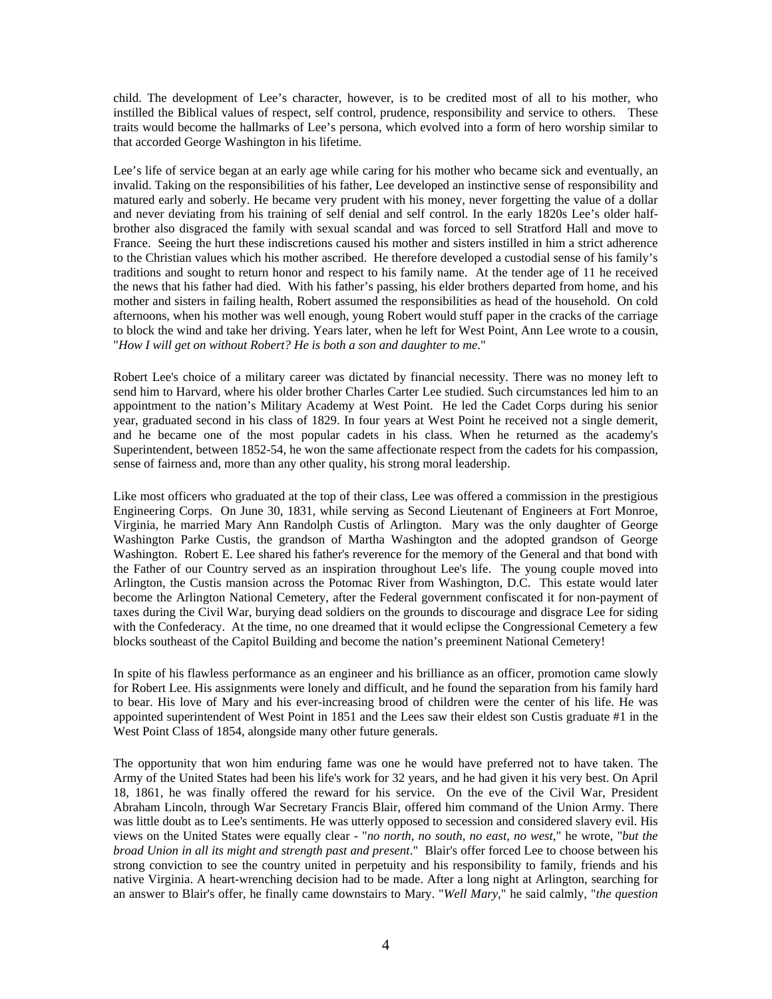child. The development of Lee's character, however, is to be credited most of all to his mother, who instilled the Biblical values of respect, self control, prudence, responsibility and service to others. These traits would become the hallmarks of Lee's persona, which evolved into a form of hero worship similar to that accorded George Washington in his lifetime.

Lee's life of service began at an early age while caring for his mother who became sick and eventually, an invalid. Taking on the responsibilities of his father, Lee developed an instinctive sense of responsibility and matured early and soberly. He became very prudent with his money, never forgetting the value of a dollar and never deviating from his training of self denial and self control. In the early 1820s Lee's older halfbrother also disgraced the family with sexual scandal and was forced to sell Stratford Hall and move to France. Seeing the hurt these indiscretions caused his mother and sisters instilled in him a strict adherence to the Christian values which his mother ascribed. He therefore developed a custodial sense of his family's traditions and sought to return honor and respect to his family name. At the tender age of 11 he received the news that his father had died. With his father's passing, his elder brothers departed from home, and his mother and sisters in failing health, Robert assumed the responsibilities as head of the household. On cold afternoons, when his mother was well enough, young Robert would stuff paper in the cracks of the carriage to block the wind and take her driving. Years later, when he left for West Point, Ann Lee wrote to a cousin, "*How I will get on without Robert? He is both a son and daughter to me*."

Robert Lee's choice of a military career was dictated by financial necessity. There was no money left to send him to Harvard, where his older brother Charles Carter Lee studied. Such circumstances led him to an appointment to the nation's Military Academy at West Point. He led the Cadet Corps during his senior year, graduated second in his class of 1829. In four years at West Point he received not a single demerit, and he became one of the most popular cadets in his class. When he returned as the academy's Superintendent, between 1852-54, he won the same affectionate respect from the cadets for his compassion, sense of fairness and, more than any other quality, his strong moral leadership.

Like most officers who graduated at the top of their class, Lee was offered a commission in the prestigious Engineering Corps. On June 30, 1831, while serving as Second Lieutenant of Engineers at Fort Monroe, Virginia, he married Mary Ann Randolph Custis of Arlington. Mary was the only daughter of George Washington Parke Custis, the grandson of Martha Washington and the adopted grandson of George Washington. Robert E. Lee shared his father's reverence for the memory of the General and that bond with the Father of our Country served as an inspiration throughout Lee's life. The young couple moved into Arlington, the Custis mansion across the Potomac River from Washington, D.C. This estate would later become the Arlington National Cemetery, after the Federal government confiscated it for non-payment of taxes during the Civil War, burying dead soldiers on the grounds to discourage and disgrace Lee for siding with the Confederacy. At the time, no one dreamed that it would eclipse the Congressional Cemetery a few blocks southeast of the Capitol Building and become the nation's preeminent National Cemetery!

In spite of his flawless performance as an engineer and his brilliance as an officer, promotion came slowly for Robert Lee. His assignments were lonely and difficult, and he found the separation from his family hard to bear. His love of Mary and his ever-increasing brood of children were the center of his life. He was appointed superintendent of West Point in 1851 and the Lees saw their eldest son Custis graduate #1 in the West Point Class of 1854, alongside many other future generals.

The opportunity that won him enduring fame was one he would have preferred not to have taken. The Army of the United States had been his life's work for 32 years, and he had given it his very best. On April 18, 1861, he was finally offered the reward for his service. On the eve of the Civil War, President Abraham Lincoln, through War Secretary Francis Blair, offered him command of the Union Army. There was little doubt as to Lee's sentiments. He was utterly opposed to secession and considered slavery evil. His views on the United States were equally clear - "*no north, no south, no east, no west*," he wrote, "*but the broad Union in all its might and strength past and present*." Blair's offer forced Lee to choose between his strong conviction to see the country united in perpetuity and his responsibility to family, friends and his native Virginia. A heart-wrenching decision had to be made. After a long night at Arlington, searching for an answer to Blair's offer, he finally came downstairs to Mary. "*Well Mary*," he said calmly, "*the question*